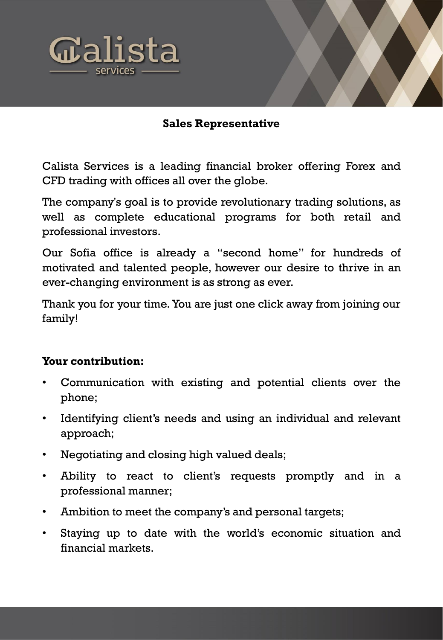



## **Sales Representative**

Calista Services is a leading financial broker offering Forex and CFD trading with offices all over the globe.

The company's goal is to provide revolutionary trading solutions, as well as complete educational programs for both retail and professional investors.

Our Sofia office is already a "second home" for hundreds of motivated and talented people, however our desire to thrive in an ever-changing environment is as strong as ever.

Thank you for your time. You are just one click away from joining our family!

## **Your contribution:**

- Communication with existing and potential clients over the phone;
- Identifying client's needs and using an individual and relevant approach;
- Negotiating and closing high valued deals;
- Ability to react to client's requests promptly and in a professional manner;
- Ambition to meet the company's and personal targets;
- Staying up to date with the world's economic situation and financial markets.